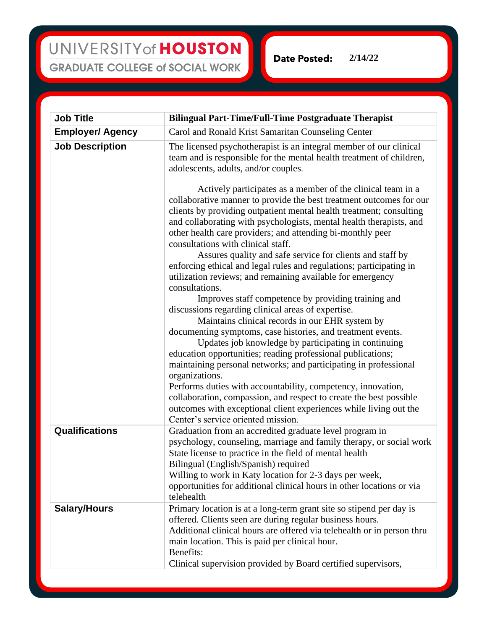## UNIVERSITY of HOUSTON **GRADUATE COLLEGE of SOCIAL WORK**

**2/14/22Date Posted:** 

| <b>Job Title</b>        | <b>Bilingual Part-Time/Full-Time Postgraduate Therapist</b>                                                                                                                                                                                                                                                                                                                                                                                       |
|-------------------------|---------------------------------------------------------------------------------------------------------------------------------------------------------------------------------------------------------------------------------------------------------------------------------------------------------------------------------------------------------------------------------------------------------------------------------------------------|
| <b>Employer/ Agency</b> | Carol and Ronald Krist Samaritan Counseling Center                                                                                                                                                                                                                                                                                                                                                                                                |
| <b>Job Description</b>  | The licensed psychotherapist is an integral member of our clinical<br>team and is responsible for the mental health treatment of children,<br>adolescents, adults, and/or couples.                                                                                                                                                                                                                                                                |
|                         | Actively participates as a member of the clinical team in a<br>collaborative manner to provide the best treatment outcomes for our<br>clients by providing outpatient mental health treatment; consulting<br>and collaborating with psychologists, mental health therapists, and<br>other health care providers; and attending bi-monthly peer<br>consultations with clinical staff.<br>Assures quality and safe service for clients and staff by |
|                         | enforcing ethical and legal rules and regulations; participating in<br>utilization reviews; and remaining available for emergency<br>consultations.                                                                                                                                                                                                                                                                                               |
|                         | Improves staff competence by providing training and<br>discussions regarding clinical areas of expertise.<br>Maintains clinical records in our EHR system by                                                                                                                                                                                                                                                                                      |
|                         | documenting symptoms, case histories, and treatment events.<br>Updates job knowledge by participating in continuing<br>education opportunities; reading professional publications;<br>maintaining personal networks; and participating in professional<br>organizations.<br>Performs duties with accountability, competency, innovation,                                                                                                          |
|                         | collaboration, compassion, and respect to create the best possible<br>outcomes with exceptional client experiences while living out the<br>Center's service oriented mission.                                                                                                                                                                                                                                                                     |
| <b>Qualifications</b>   | Graduation from an accredited graduate level program in<br>psychology, counseling, marriage and family therapy, or social work<br>State license to practice in the field of mental health<br>Bilingual (English/Spanish) required<br>Willing to work in Katy location for 2-3 days per week,<br>opportunities for additional clinical hours in other locations or via<br>telehealth                                                               |
| <b>Salary/Hours</b>     | Primary location is at a long-term grant site so stipend per day is<br>offered. Clients seen are during regular business hours.<br>Additional clinical hours are offered via telehealth or in person thru<br>main location. This is paid per clinical hour.<br>Benefits:<br>Clinical supervision provided by Board certified supervisors,                                                                                                         |